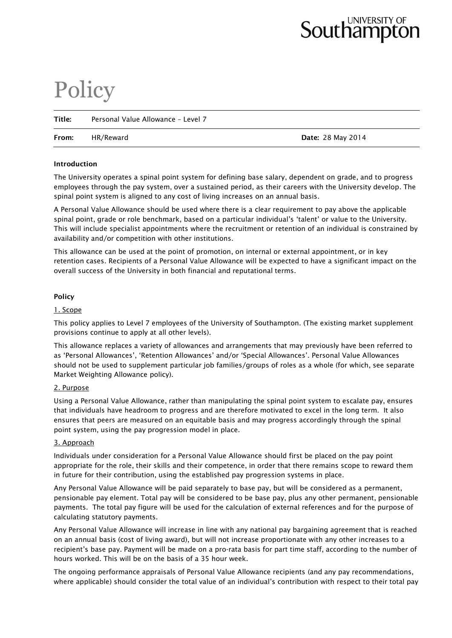# Southampton

# **Policy**

| Title: | Personal Value Allowance - Level 7 |                          |  |  |
|--------|------------------------------------|--------------------------|--|--|
| From:  | HR/Reward                          | <b>Date: 28 May 2014</b> |  |  |

# **Introduction**

The University operates a spinal point system for defining base salary, dependent on grade, and to progress employees through the pay system, over a sustained period, as their careers with the University develop. The spinal point system is aligned to any cost of living increases on an annual basis.

A Personal Value Allowance should be used where there is a clear requirement to pay above the applicable spinal point, grade or role benchmark, based on a particular individual's 'talent' or value to the University. This will include specialist appointments where the recruitment or retention of an individual is constrained by availability and/or competition with other institutions.

This allowance can be used at the point of promotion, on internal or external appointment, or in key retention cases. Recipients of a Personal Value Allowance will be expected to have a significant impact on the overall success of the University in both financial and reputational terms.

# **Policy**

# 1. Scope

This policy applies to Level 7 employees of the University of Southampton. (The existing market supplement provisions continue to apply at all other levels).

This allowance replaces a variety of allowances and arrangements that may previously have been referred to as 'Personal Allowances', 'Retention Allowances' and/or 'Special Allowances'. Personal Value Allowances should not be used to supplement particular job families/groups of roles as a whole (for which, see separate Market Weighting Allowance policy).

#### 2. Purpose

Using a Personal Value Allowance, rather than manipulating the spinal point system to escalate pay, ensures that individuals have headroom to progress and are therefore motivated to excel in the long term. It also ensures that peers are measured on an equitable basis and may progress accordingly through the spinal point system, using the pay progression model in place.

# 3. Approach

Individuals under consideration for a Personal Value Allowance should first be placed on the pay point appropriate for the role, their skills and their competence, in order that there remains scope to reward them in future for their contribution, using the established pay progression systems in place.

Any Personal Value Allowance will be paid separately to base pay, but will be considered as a permanent, pensionable pay element. Total pay will be considered to be base pay, plus any other permanent, pensionable payments. The total pay figure will be used for the calculation of external references and for the purpose of calculating statutory payments.

Any Personal Value Allowance will increase in line with any national pay bargaining agreement that is reached on an annual basis (cost of living award), but will not increase proportionate with any other increases to a recipient's base pay. Payment will be made on a pro-rata basis for part time staff, according to the number of hours worked. This will be on the basis of a 35 hour week.

The ongoing performance appraisals of Personal Value Allowance recipients (and any pay recommendations, where applicable) should consider the total value of an individual's contribution with respect to their total pay